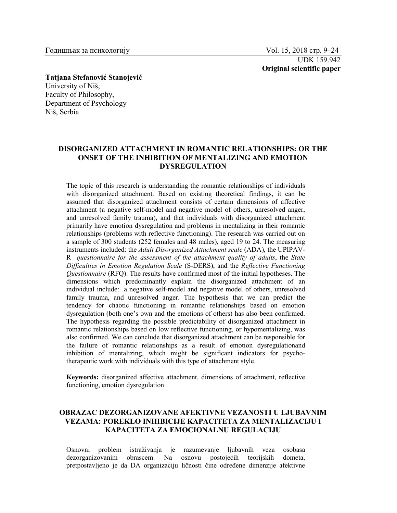UDK 159.942 **Original scientific paper**

**Tatjana Stefanović Stanojević** University of Niš, Faculty of Philosophy, Department of Psychology Niš, Serbia

## **DISORGANIZED ATTACHMENT IN ROMANTIC RELATIONSHIPS: OR THE ONSET OF THE INHIBITION OF MENTALIZING AND EMOTION DYSREGULATION**

The topic of this research is understanding the romantic relationships of individuals with disorganized attachment. Based on existing theoretical findings, it can be assumed that disorganized attachment consists of certain dimensions of affective attachment (a negative self-model and negative model of others, unresolved anger, and unresolved family trauma), and that individuals with disorganized attachment primarily have emotion dysregulation and problems in mentalizing in their romantic relationships (problems with reflective functioning). The research was carried out on a sample of 300 students (252 females and 48 males), aged 19 to 24. The measuring instruments included: the *Adult Disorganized Attachment scale* (ADA), the UPIPAV-R *questionnaire for the assessment of the attachment quality of adults*, the *State Difficulties in Emotion Regulation Scale* (S-DERS), and the *Reflective Functioning Questionnaire* (RFQ). The results have confirmed most of the initial hypotheses. The dimensions which predominantly explain the disorganized attachment of an individual include: a negative self-model and negative model of others, unresolved family trauma, and unresolved anger. The hypothesis that we can predict the tendency for chaotic functioning in romantic relationships based on emotion dysregulation (both one's own and the emotions of others) has also been confirmed. The hypothesis regarding the possible predictability of disorganized attachment in romantic relationships based on low reflective functioning, or hypomentalizing, was also confirmed. We can conclude that disorganized attachment can be responsible for the failure of romantic relationships as a result of emotion dysregulationand inhibition of mentalizing, which might be significant indicators for psychotherapeutic work with individuals with this type of attachment style.

**Keywords:** disorganized affective attachment, dimensions of attachment, reflective functioning, emotion dysregulation

## **OBRAZAC DEZORGANIZOVANE AFEKTIVNE VEZANOSTI U LJUBAVNIM VEZAMA: POREKLO INHIBICIJE KAPACITETA ZA MENTALIZACIJU I KAPACITETA ZA EMOCIONALNU REGULACIJU**

Osnovni problem istraživanja je razumevanje ljubavnih veza osobasa Na osnovu postojećih teorijskih dometa, pretpostavljeno je da DA organizaciju ličnosti čine određene dimenzije afektivne